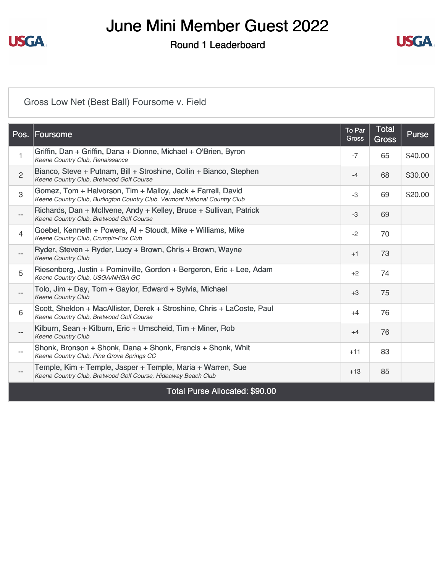

Round 1 Leaderboard



#### [Gross Low Net \(Best Ball\) Foursome v. Field](https://static.golfgenius.com/v2tournaments/8574994819313588032?called_from=&round_index=1)

|                          | Pos. Foursome                                                                                                                             | To Par<br><b>Gross</b> | <b>Total</b><br><b>Gross</b> | <b>Purse</b> |
|--------------------------|-------------------------------------------------------------------------------------------------------------------------------------------|------------------------|------------------------------|--------------|
| 1                        | Griffin, Dan + Griffin, Dana + Dionne, Michael + O'Brien, Byron<br>Keene Country Club, Renaissance                                        | $-7$                   | 65                           | \$40.00      |
| $\overline{2}$           | Bianco, Steve + Putnam, Bill + Stroshine, Collin + Bianco, Stephen<br>Keene Country Club, Bretwood Golf Course                            | $-4$                   | 68                           | \$30.00      |
| 3                        | Gomez, Tom + Halvorson, Tim + Malloy, Jack + Farrell, David<br>Keene Country Club, Burlington Country Club, Vermont National Country Club | -3                     | 69                           | \$20.00      |
| $\overline{\phantom{a}}$ | Richards, Dan + McIlvene, Andy + Kelley, Bruce + Sullivan, Patrick<br>Keene Country Club, Bretwood Golf Course                            | $-3$                   | 69                           |              |
| $\overline{4}$           | Goebel, Kenneth + Powers, AI + Stoudt, Mike + Williams, Mike<br>Keene Country Club, Crumpin-Fox Club                                      | $-2$                   | 70                           |              |
| $\overline{\phantom{a}}$ | Ryder, Steven + Ryder, Lucy + Brown, Chris + Brown, Wayne<br><b>Keene Country Club</b>                                                    | $+1$                   | 73                           |              |
| 5                        | Riesenberg, Justin + Pominville, Gordon + Bergeron, Eric + Lee, Adam<br>Keene Country Club, USGA/NHGA GC                                  | $+2$                   | 74                           |              |
| $\qquad \qquad -$        | Tolo, Jim + Day, Tom + Gaylor, Edward + Sylvia, Michael<br>Keene Country Club                                                             | $+3$                   | 75                           |              |
| $6\phantom{1}6$          | Scott, Sheldon + MacAllister, Derek + Stroshine, Chris + LaCoste, Paul<br>Keene Country Club, Bretwood Golf Course                        | $+4$                   | 76                           |              |
| $\qquad \qquad -$        | Kilburn, Sean + Kilburn, Eric + Umscheid, Tim + Miner, Rob<br><b>Keene Country Club</b>                                                   | $+4$                   | 76                           |              |
| $- -$                    | Shonk, Bronson + Shonk, Dana + Shonk, Francis + Shonk, Whit<br>Keene Country Club, Pine Grove Springs CC                                  | $+11$                  | 83                           |              |
| $\qquad \qquad -$        | Temple, Kim + Temple, Jasper + Temple, Maria + Warren, Sue<br>Keene Country Club, Bretwood Golf Course, Hideaway Beach Club               | $+13$                  | 85                           |              |
|                          | Tetal Duras, Allecated, COO, OO                                                                                                           |                        |                              |              |

Total Purse Allocated: \$90.00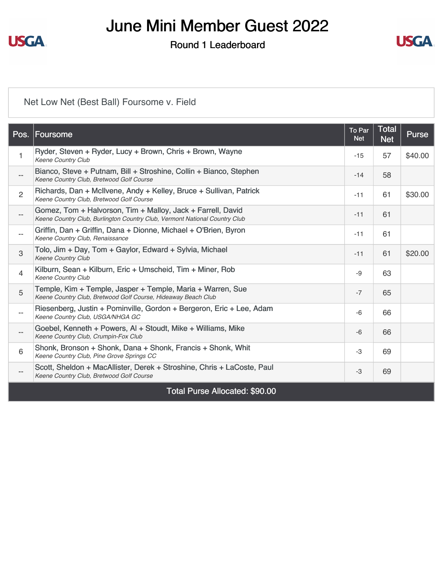

Round 1 Leaderboard



### [Net Low Net \(Best Ball\) Foursome v. Field](https://static.golfgenius.com/v2tournaments/8574994822736140097?called_from=&round_index=1)

|                          | Pos. Foursome                                                                                                                             | To Par<br><b>Net</b> | <b>Total</b><br><b>Net</b> | <b>Purse</b> |
|--------------------------|-------------------------------------------------------------------------------------------------------------------------------------------|----------------------|----------------------------|--------------|
| $\mathbf{1}$             | Ryder, Steven + Ryder, Lucy + Brown, Chris + Brown, Wayne<br><b>Keene Country Club</b>                                                    | $-15$                | 57                         | \$40.00      |
| $-\,-$                   | Bianco, Steve + Putnam, Bill + Stroshine, Collin + Bianco, Stephen<br>Keene Country Club, Bretwood Golf Course                            | $-14$                | 58                         |              |
| $\overline{2}$           | Richards, Dan + McIlvene, Andy + Kelley, Bruce + Sullivan, Patrick<br>Keene Country Club, Bretwood Golf Course                            | $-11$                | 61                         | \$30.00      |
| $-$                      | Gomez, Tom + Halvorson, Tim + Malloy, Jack + Farrell, David<br>Keene Country Club, Burlington Country Club, Vermont National Country Club | $-11$                | 61                         |              |
| $\overline{\phantom{a}}$ | Griffin, Dan + Griffin, Dana + Dionne, Michael + O'Brien, Byron<br>Keene Country Club, Renaissance                                        | $-11$                | 61                         |              |
| 3                        | Tolo, Jim + Day, Tom + Gaylor, Edward + Sylvia, Michael<br><b>Keene Country Club</b>                                                      | $-11$                | 61                         | \$20.00      |
| $\overline{4}$           | Kilburn, Sean + Kilburn, Eric + Umscheid, Tim + Miner, Rob<br><b>Keene Country Club</b>                                                   | -9                   | 63                         |              |
| 5                        | Temple, Kim + Temple, Jasper + Temple, Maria + Warren, Sue<br>Keene Country Club, Bretwood Golf Course, Hideaway Beach Club               | $-7$                 | 65                         |              |
| $-$                      | Riesenberg, Justin + Pominville, Gordon + Bergeron, Eric + Lee, Adam<br>Keene Country Club, USGA/NHGA GC                                  | -6                   | 66                         |              |
| $\overline{\phantom{a}}$ | Goebel, Kenneth + Powers, AI + Stoudt, Mike + Williams, Mike<br>Keene Country Club, Crumpin-Fox Club                                      | $-6$                 | 66                         |              |
| 6                        | Shonk, Bronson + Shonk, Dana + Shonk, Francis + Shonk, Whit<br>Keene Country Club, Pine Grove Springs CC                                  | $-3$                 | 69                         |              |
| $\qquad \qquad -$        | Scott, Sheldon + MacAllister, Derek + Stroshine, Chris + LaCoste, Paul<br>Keene Country Club, Bretwood Golf Course                        | -3                   | 69                         |              |
|                          | Total Purse Allocated: \$90.00                                                                                                            |                      |                            |              |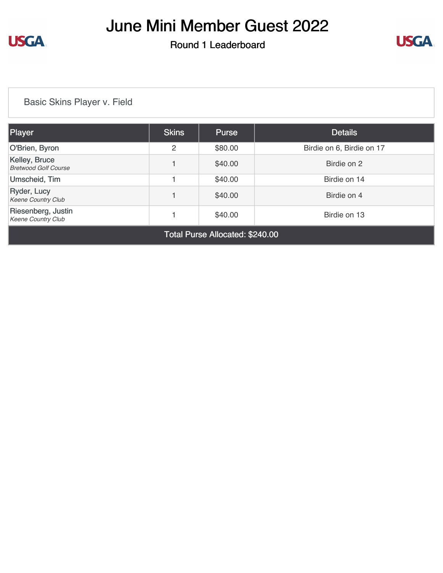

Round 1 Leaderboard



[Basic Skins Player v. Field](https://static.golfgenius.com/v2tournaments/8574997092190148419?called_from=&round_index=1)

| Player                                          | <b>Skins</b> | <b>Purse</b>                                                                                                                                                                                                                                                                                                                       | <b>Details</b>            |
|-------------------------------------------------|--------------|------------------------------------------------------------------------------------------------------------------------------------------------------------------------------------------------------------------------------------------------------------------------------------------------------------------------------------|---------------------------|
| O'Brien, Byron                                  | 2            | \$80.00                                                                                                                                                                                                                                                                                                                            | Birdie on 6, Birdie on 17 |
| Kelley, Bruce<br><b>Bretwood Golf Course</b>    |              | \$40.00                                                                                                                                                                                                                                                                                                                            | Birdie on 2               |
| Umscheid, Tim                                   |              | \$40.00                                                                                                                                                                                                                                                                                                                            | Birdie on 14              |
| Ryder, Lucy<br><b>Keene Country Club</b>        |              | \$40.00                                                                                                                                                                                                                                                                                                                            | Birdie on 4               |
| Riesenberg, Justin<br><b>Keene Country Club</b> |              | \$40.00                                                                                                                                                                                                                                                                                                                            | Birdie on 13              |
|                                                 | -            | $\mathbf{a}$ $\mathbf{b}$ $\mathbf{c}$ $\mathbf{c}$ $\mathbf{d}$ $\mathbf{c}$ $\mathbf{c}$ $\mathbf{c}$ $\mathbf{c}$ $\mathbf{c}$ $\mathbf{c}$ $\mathbf{c}$ $\mathbf{c}$ $\mathbf{c}$ $\mathbf{c}$ $\mathbf{c}$ $\mathbf{c}$ $\mathbf{c}$ $\mathbf{c}$ $\mathbf{c}$ $\mathbf{c}$ $\mathbf{c}$ $\mathbf{c}$ $\mathbf{c}$ $\mathbf{$ |                           |

Total Purse Allocated: \$240.00